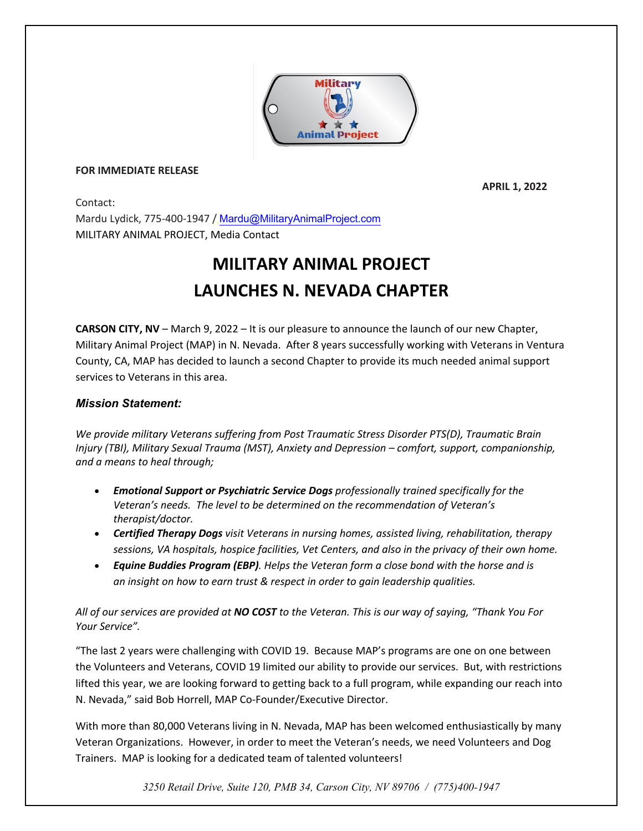

## **FOR IMMEDIATE RELEASE**

 **APRIL 1, 2022**

Contact: Mardu Lydick, 775-400-1947 / Mardu@MilitaryAnimalProject.com MILITARY ANIMAL PROJECT, Media Contact

## **MILITARY ANIMAL PROJECT LAUNCHES N. NEVADA CHAPTER**

**CARSON CITY, NV** – March 9, 2022 – It is our pleasure to announce the launch of our new Chapter, Military Animal Project (MAP) in N. Nevada. After 8 years successfully working with Veterans in Ventura County, CA, MAP has decided to launch a second Chapter to provide its much needed animal support services to Veterans in this area.

## *Mission Statement:*

*We provide military Veterans suffering from Post Traumatic Stress Disorder PTS(D), Traumatic Brain Injury (TBI), Military Sexual Trauma (MST), Anxiety and Depression – comfort, support, companionship, and a means to heal through;*

- *Emotional Support or Psychiatric Service Dogs professionally trained specifically for the Veteran's needs. The level to be determined on the recommendation of Veteran's therapist/doctor.*
- *Certified Therapy Dogs visit Veterans in nursing homes, assisted living, rehabilitation, therapy sessions, VA hospitals, hospice facilities, Vet Centers, and also in the privacy of their own home.*
- *Equine Buddies Program (EBP). Helps the Veteran form a close bond with the horse and is an insight on how to earn trust & respect in order to gain leadership qualities.*

*All of our services are provided at NO COST to the Veteran. This is our way of saying, "Thank You For Your Service".*

"The last 2 years were challenging with COVID 19. Because MAP's programs are one on one between the Volunteers and Veterans, COVID 19 limited our ability to provide our services. But, with restrictions lifted this year, we are looking forward to getting back to a full program, while expanding our reach into N. Nevada," said Bob Horrell, MAP Co-Founder/Executive Director.

With more than 80,000 Veterans living in N. Nevada, MAP has been welcomed enthusiastically by many Veteran Organizations. However, in order to meet the Veteran's needs, we need Volunteers and Dog Trainers. MAP is looking for a dedicated team of talented volunteers!

*3250 Retail Drive, Suite 120, PMB 34, Carson City, NV 89706 / (775)400-1947*